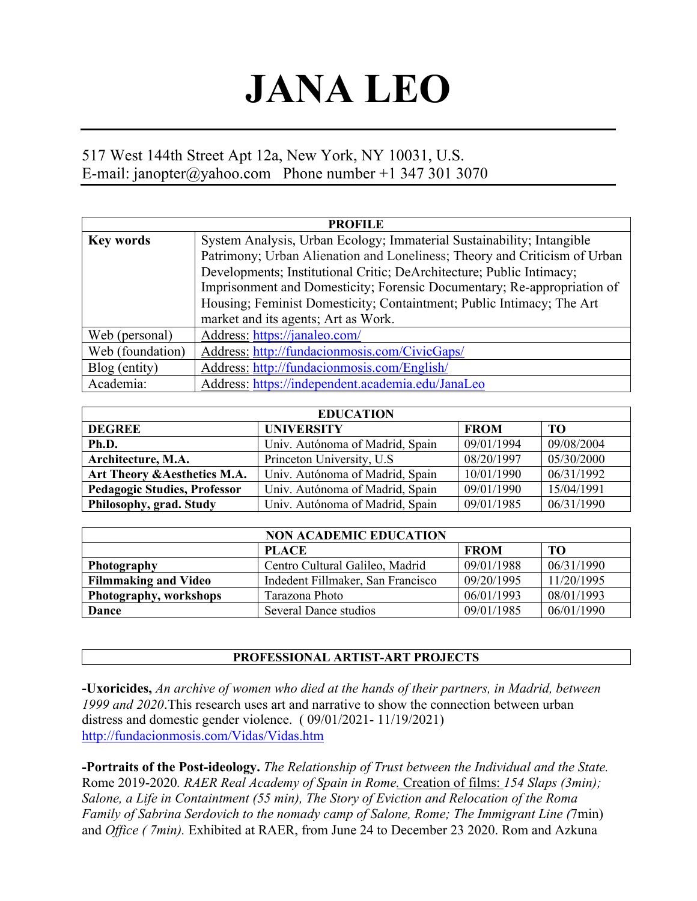# **JANA LEO**

## 517 West 144th Street Apt 12a, New York, NY 10031, U.S. E-mail: janopter@yahoo.com Phone number +1 347 301 3070

| <b>PROFILE</b>   |                                                                           |  |  |
|------------------|---------------------------------------------------------------------------|--|--|
| <b>Key words</b> | System Analysis, Urban Ecology; Immaterial Sustainability; Intangible     |  |  |
|                  | Patrimony; Urban Alienation and Loneliness; Theory and Criticism of Urban |  |  |
|                  | Developments; Institutional Critic; DeArchitecture; Public Intimacy;      |  |  |
|                  | Imprisonment and Domesticity; Forensic Documentary; Re-appropriation of   |  |  |
|                  | Housing; Feminist Domesticity; Containtment; Public Intimacy; The Art     |  |  |
|                  | market and its agents; Art as Work.                                       |  |  |
| Web (personal)   | Address: https://janaleo.com/                                             |  |  |
| Web (foundation) | Address: http://fundacionmosis.com/CivicGaps/                             |  |  |
| Blog (entity)    | Address: http://fundacionmosis.com/English/                               |  |  |
| Academia:        | Address: https://independent.academia.edu/JanaLeo                         |  |  |

| <b>EDUCATION</b>                    |                                 |             |            |  |  |
|-------------------------------------|---------------------------------|-------------|------------|--|--|
| <b>DEGREE</b>                       | <b>UNIVERSITY</b>               | <b>FROM</b> | TO         |  |  |
| Ph.D.                               | Univ. Autónoma of Madrid, Spain | 09/01/1994  | 09/08/2004 |  |  |
| Architecture, M.A.                  | Princeton University, U.S.      | 08/20/1997  | 05/30/2000 |  |  |
| Art Theory & Aesthetics M.A.        | Univ. Autónoma of Madrid, Spain | 10/01/1990  | 06/31/1992 |  |  |
| <b>Pedagogic Studies, Professor</b> | Univ. Autónoma of Madrid, Spain | 09/01/1990  | 15/04/1991 |  |  |
| Philosophy, grad. Study             | Univ. Autónoma of Madrid, Spain | 09/01/1985  | 06/31/1990 |  |  |

|                             | <b>NON ACADEMIC EDUCATION</b>     |             |            |
|-----------------------------|-----------------------------------|-------------|------------|
|                             | <b>PLACE</b>                      | <b>FROM</b> | TО         |
| Photography                 | Centro Cultural Galileo, Madrid   | 09/01/1988  | 06/31/1990 |
| <b>Filmmaking and Video</b> | Indedent Fillmaker, San Francisco | 09/20/1995  | 11/20/1995 |
| Photography, workshops      | Tarazona Photo                    | 06/01/1993  | 08/01/1993 |
| Dance                       | Several Dance studios             | 09/01/1985  | 06/01/1990 |

#### **PROFESSIONAL ARTIST-ART PROJECTS**

**-Uxoricides,** *An archive of women who died at the hands of their partners, in Madrid, between 1999 and 2020*.This research uses art and narrative to show the connection between urban distress and domestic gender violence. ( 09/01/2021- 11/19/2021) http://fundacionmosis.com/Vidas/Vidas.htm

**-Portraits of the Post-ideology.** *The Relationship of Trust between the Individual and the State.*  Rome 2019-2020*. RAER Real Academy of Spain in Rome.* Creation of films: *154 Slaps (3min); Salone, a Life in Containtment (55 min), The Story of Eviction and Relocation of the Roma Family of Sabrina Serdovich to the nomady camp of Salone, Rome; The Immigrant Line (*7min) and *Office ( 7min).* Exhibited at RAER, from June 24 to December 23 2020. Rom and Azkuna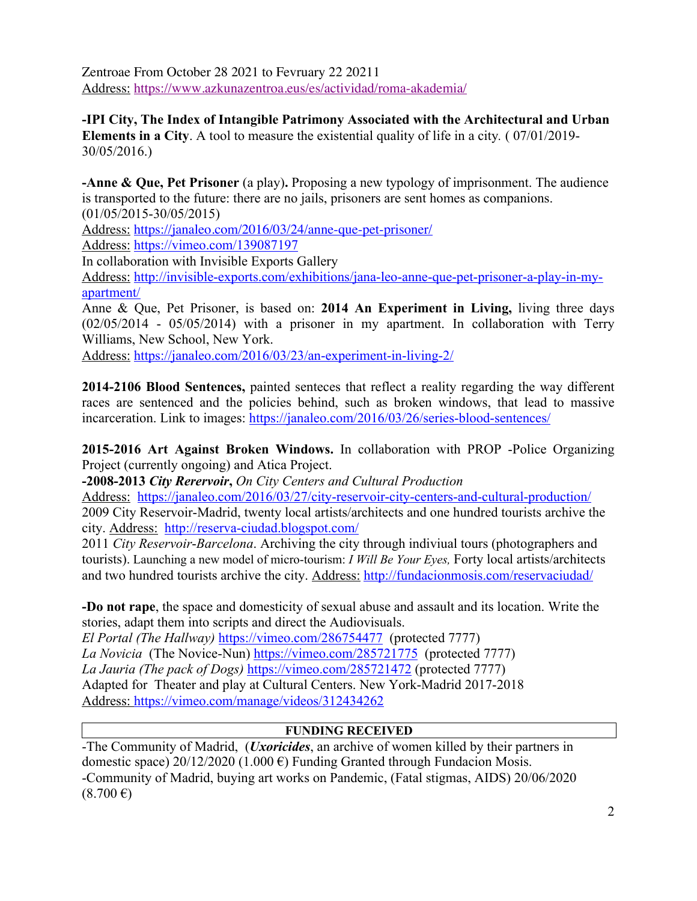Zentroae From October 28 2021 to Fevruary 22 20211 Address: https://www.azkunazentroa.eus/es/actividad/roma-akademia/

**-IPI City, The Index of Intangible Patrimony Associated with the Architectural and Urban Elements in a City**. A tool to measure the existential quality of life in a city*.* ( 07/01/2019- 30/05/2016.)

**-Anne & Que, Pet Prisoner** (a play)**.** Proposing a new typology of imprisonment. The audience is transported to the future: there are no jails, prisoners are sent homes as companions. (01/05/2015-30/05/2015)

Address: https://janaleo.com/2016/03/24/anne-que-pet-prisoner/

Address: https://vimeo.com/139087197

In collaboration with Invisible Exports Gallery

Address: http://invisible-exports.com/exhibitions/jana-leo-anne-que-pet-prisoner-a-play-in-myapartment/

Anne & Que, Pet Prisoner, is based on: **2014 An Experiment in Living,** living three days (02/05/2014 - 05/05/2014) with a prisoner in my apartment. In collaboration with Terry Williams, New School, New York.

Address: https://janaleo.com/2016/03/23/an-experiment-in-living-2/

**2014-2106 Blood Sentences,** painted senteces that reflect a reality regarding the way different races are sentenced and the policies behind, such as broken windows, that lead to massive incarceration. Link to images: https://janaleo.com/2016/03/26/series-blood-sentences/

**2015-2016 Art Against Broken Windows.** In collaboration with PROP -Police Organizing Project (currently ongoing) and Atica Project.

**-2008-2013** *City Rerervoir***,** *On City Centers and Cultural Production* 

Address: https://janaleo.com/2016/03/27/city-reservoir-city-centers-and-cultural-production/ 2009 City Reservoir-Madrid, twenty local artists/architects and one hundred tourists archive the city. Address: http://reserva-ciudad.blogspot.com/

2011 *City Reservoir*-*Barcelona*. Archiving the city through indiviual tours (photographers and tourists). Launching a new model of micro-tourism: *I Will Be Your Eyes,* Forty local artists/architects and two hundred tourists archive the city. Address: http://fundacionmosis.com/reservaciudad/

**-Do not rape**, the space and domesticity of sexual abuse and assault and its location. Write the stories, adapt them into scripts and direct the Audiovisuals.

*El Portal (The Hallway)* https://vimeo.com/286754477 (protected 7777) *La Novicia* (The Novice-Nun) https://vimeo.com/285721775 (protected 7777) *La Jauria (The pack of Dogs)* https://vimeo.com/285721472 (protected 7777) Adapted for Theater and play at Cultural Centers. New York-Madrid 2017-2018 Address: https://vimeo.com/manage/videos/312434262

#### **FUNDING RECEIVED**

-The Community of Madrid, (*Uxoricides*, an archive of women killed by their partners in domestic space) 20/12/2020 (1.000  $\epsilon$ ) Funding Granted through Fundacion Mosis. -Community of Madrid, buying art works on Pandemic, (Fatal stigmas, AIDS) 20/06/2020  $(8.700 \,\epsilon)$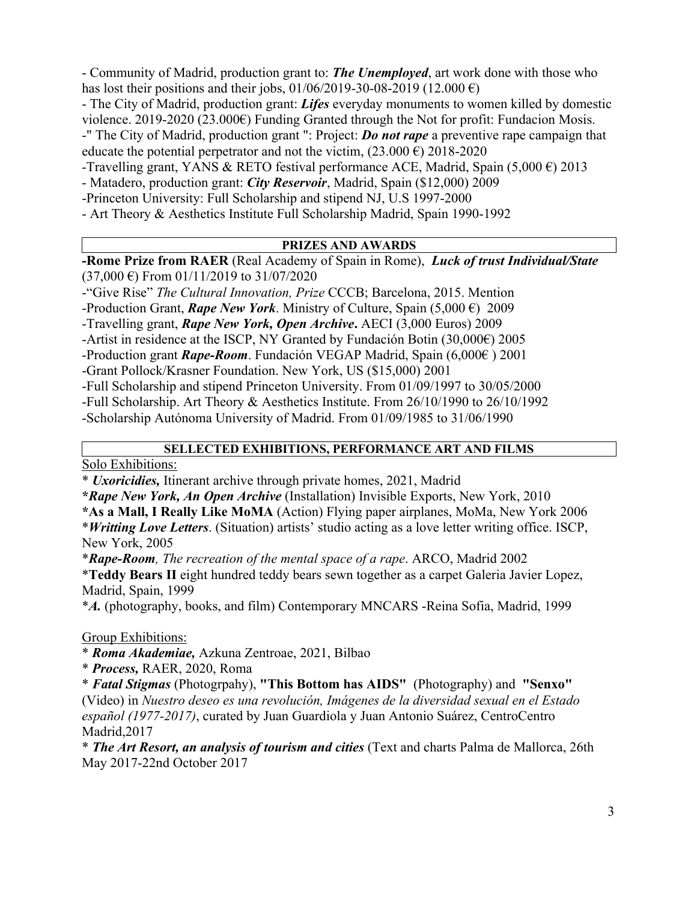- Community of Madrid, production grant to: *The Unemployed*, art work done with those who has lost their positions and their jobs, 01/06/2019-30-08-2019 (12.000  $\epsilon$ )

- The City of Madrid, production grant: *Lifes* everyday monuments to women killed by domestic violence. 2019-2020 (23.000€) Funding Granted through the Not for profit: Fundacion Mosis. -" The City of Madrid, production grant ": Project: *Do not rape* a preventive rape campaign that

educate the potential perpetrator and not the victim,  $(23.000 \text{ } \epsilon)$  2018-2020

-Travelling grant, YANS & RETO festival performance ACE, Madrid, Spain (5,000  $\epsilon$ ) 2013

- Matadero, production grant: *City Reservoir*, Madrid, Spain (\$12,000) 2009

-Princeton University: Full Scholarship and stipend NJ, U.S 1997-2000

- Art Theory & Aesthetics Institute Full Scholarship Madrid, Spain 1990-1992

#### **PRIZES AND AWARDS**

**-Rome Prize from RAER** (Real Academy of Spain in Rome), *Luck of trust Individual/State*  $(37,000 \text{ } \infty)$  From 01/11/2019 to 31/07/2020

-"Give Rise" *The Cultural Innovation, Prize* CCCB; Barcelona, 2015. Mention

-Production Grant, *Rape New York*. Ministry of Culture, Spain (5,000  $\epsilon$ ) 2009

-Travelling grant, *Rape New York, Open Archive***.** AECI (3,000 Euros) 2009

-Artist in residence at the ISCP, NY Granted by Fundación Botin  $(30,000 \epsilon)$  2005

-Production grant *Rape-Room*. Fundación VEGAP Madrid, Spain (6,000€ ) 2001

-Grant Pollock/Krasner Foundation. New York, US (\$15,000) 2001

-Full Scholarship and stipend Princeton University. From 01/09/1997 to 30/05/2000

-Full Scholarship. Art Theory & Aesthetics Institute. From 26/10/1990 to 26/10/1992

-Scholarship Autónoma University of Madrid. From 01/09/1985 to 31/06/1990

#### **SELLECTED EXHIBITIONS, PERFORMANCE ART AND FILMS**

Solo Exhibitions:

\* *Uxoricidies,* Itinerant archive through private homes, 2021, Madrid

**\****Rape New York, An Open Archive* (Installation) Invisible Exports, New York, 2010

**\*As a Mall, I Really Like MoMA** (Action) Flying paper airplanes, MoMa, New York 2006 \**Writting Love Letters*. (Situation) artists' studio acting as a love letter writing office. ISCP, New York, 2005

\**Rape-Room, The recreation of the mental space of a rape*. ARCO, Madrid 2002

\***Teddy Bears II** eight hundred teddy bears sewn together as a carpet Galeria Javier Lopez, Madrid, Spain, 1999

\**A.* (photography, books, and film) Contemporary MNCARS -Reina Sofia, Madrid, 1999

Group Exhibitions:

\* *Roma Akademiae,* Azkuna Zentroae, 2021, Bilbao

\* *Process,* RAER, 2020, Roma

\* *Fatal Stigmas* (Photogrpahy), **"This Bottom has AIDS"** (Photography) and **"Senxo"** (Video) in *Nuestro deseo es una revolución, Imágenes de la diversidad sexual en el Estado español (1977-2017)*, curated by Juan Guardiola y Juan Antonio Suárez, CentroCentro Madrid,2017

\* *The Art Resort, an analysis of tourism and cities* (Text and charts Palma de Mallorca, 26th May 2017-22nd October 2017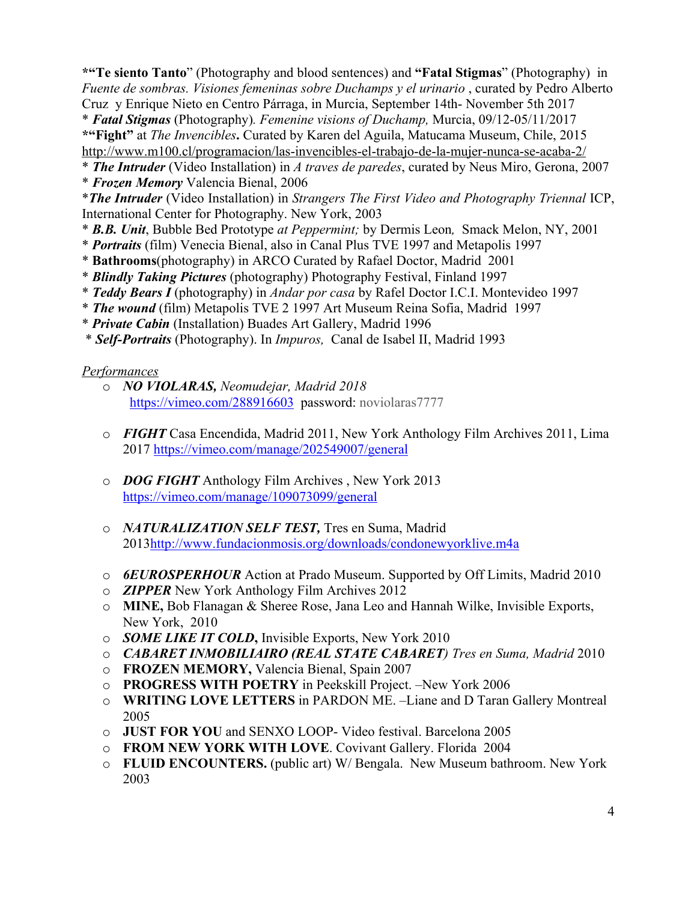**\*"Te siento Tanto**" (Photography and blood sentences) and **"Fatal Stigmas**" (Photography) in *Fuente de sombras. Visiones femeninas sobre Duchamps y el urinario* , curated by Pedro Alberto Cruz y Enrique Nieto en Centro Párraga, in Murcia, September 14th- November 5th 2017 \* *Fatal Stigmas* (Photography)*. Femenine visions of Duchamp,* Murcia, 09/12-05/11/2017 **\*"Fight"** at *The Invencibles***.** Curated by Karen del Aguila, Matucama Museum, Chile, 2015 http://www.m100.cl/programacion/las-invencibles-el-trabajo-de-la-mujer-nunca-se-acaba-2/

- \* *The Intruder* (Video Installation) in *A traves de paredes*, curated by Neus Miro, Gerona, 2007
- \* *Frozen Memory* Valencia Bienal, 2006

\**The Intruder* (Video Installation) in *Strangers The First Video and Photography Triennal* ICP, International Center for Photography. New York, 2003

- \* *B.B. Unit*, Bubble Bed Prototype *at Peppermint;* by Dermis Leon*,* Smack Melon, NY, 2001
- \* *Portraits* (film) Venecia Bienal, also in Canal Plus TVE 1997 and Metapolis 1997
- \* **Bathrooms**(photography) in ARCO Curated by Rafael Doctor, Madrid 2001
- \* *Blindly Taking Pictures* (photography) Photography Festival, Finland 1997
- \* *Teddy Bears I* (photography) in *Andar por casa* by Rafel Doctor I.C.I. Montevideo 1997
- \* *The wound* (film) Metapolis TVE 2 1997 Art Museum Reina Sofia, Madrid 1997
- \* *Private Cabin* (Installation) Buades Art Gallery, Madrid 1996
- \* *Self-Portraits* (Photography). In *Impuros,* Canal de Isabel II, Madrid 1993

## *Performances*

- o *NO VIOLARAS, Neomudejar, Madrid 2018* https://vimeo.com/288916603 password: noviolaras7777
- o *FIGHT* Casa Encendida, Madrid 2011, New York Anthology Film Archives 2011, Lima 2017 https://vimeo.com/manage/202549007/general
- o *DOG FIGHT* Anthology Film Archives , New York 2013 https://vimeo.com/manage/109073099/general
- o *NATURALIZATION SELF TEST,* Tres en Suma, Madrid 2013http://www.fundacionmosis.org/downloads/condonewyorklive.m4a
- o *6EUROSPERHOUR* Action at Prado Museum. Supported by Off Limits, Madrid 2010
- o *ZIPPER* New York Anthology Film Archives 2012
- o **MINE,** Bob Flanagan & Sheree Rose, Jana Leo and Hannah Wilke, Invisible Exports, New York, 2010
- o *SOME LIKE IT COLD***,** Invisible Exports, New York 2010
- o *CABARET INMOBILIAIRO (REAL STATE CABARET) Tres en Suma, Madrid* 2010
- o **FROZEN MEMORY,** Valencia Bienal, Spain 2007
- o **PROGRESS WITH POETRY** in Peekskill Project. –New York 2006
- o **WRITING LOVE LETTERS** in PARDON ME. –Liane and D Taran Gallery Montreal 2005
- o **JUST FOR YOU** and SENXO LOOP- Video festival. Barcelona 2005
- o **FROM NEW YORK WITH LOVE**. Covivant Gallery. Florida 2004
- o **FLUID ENCOUNTERS.** (public art) W/ Bengala. New Museum bathroom. New York 2003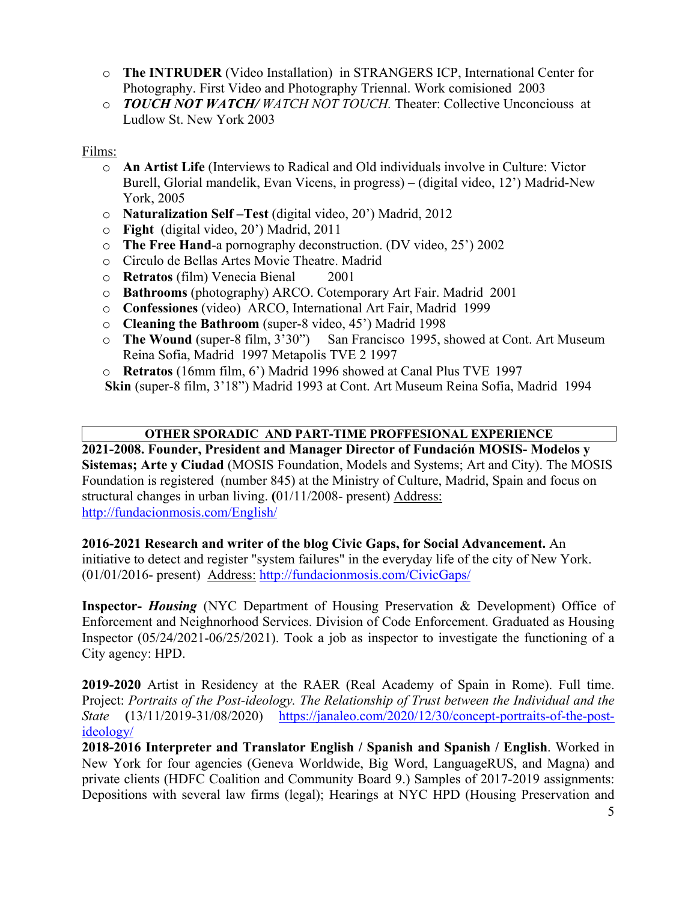- o **The INTRUDER** (Video Installation) in STRANGERS ICP, International Center for Photography. First Video and Photography Triennal. Work comisioned 2003
- o *TOUCH NOT WATCH/ WATCH NOT TOUCH.* Theater: Collective Unconciouss at Ludlow St. New York 2003

#### Films:

- o **An Artist Life** (Interviews to Radical and Old individuals involve in Culture: Victor Burell, Glorial mandelik, Evan Vicens, in progress) – (digital video, 12') Madrid-New York, 2005
- o **Naturalization Self –Test** (digital video, 20') Madrid, 2012
- o **Fight** (digital video, 20') Madrid, 2011
- o **The Free Hand**-a pornography deconstruction. (DV video, 25') 2002
- o Circulo de Bellas Artes Movie Theatre. Madrid
- o **Retratos** (film) Venecia Bienal 2001
- o **Bathrooms** (photography) ARCO. Cotemporary Art Fair. Madrid 2001
- o **Confessiones** (video) ARCO, International Art Fair, Madrid 1999
- o **Cleaning the Bathroom** (super-8 video, 45') Madrid 1998
- o **The Wound** (super-8 film, 3'30") San Francisco 1995, showed at Cont. Art Museum Reina Sofia, Madrid 1997 Metapolis TVE 2 1997
- o **Retratos** (16mm film, 6') Madrid 1996 showed at Canal Plus TVE 1997

**Skin** (super-8 film, 3'18") Madrid 1993 at Cont. Art Museum Reina Sofia, Madrid 1994

#### **OTHER SPORADIC AND PART-TIME PROFFESIONAL EXPERIENCE**

**2021-2008. Founder, President and Manager Director of Fundación MOSIS- Modelos y Sistemas; Arte y Ciudad** (MOSIS Foundation, Models and Systems; Art and City). The MOSIS Foundation is registered (number 845) at the Ministry of Culture, Madrid, Spain and focus on structural changes in urban living. **(**01/11/2008- present) Address: http://fundacionmosis.com/English/

#### **2016-2021 Research and writer of the blog Civic Gaps, for Social Advancement.** An

initiative to detect and register "system failures" in the everyday life of the city of New York. (01/01/2016- present) Address: http://fundacionmosis.com/CivicGaps/

**Inspector-** *Housing* (NYC Department of Housing Preservation & Development) Office of Enforcement and Neighnorhood Services. Division of Code Enforcement. Graduated as Housing Inspector (05/24/2021-06/25/2021). Took a job as inspector to investigate the functioning of a City agency: HPD.

**2019-2020** Artist in Residency at the RAER (Real Academy of Spain in Rome). Full time. Project: *Portraits of the Post-ideology. The Relationship of Trust between the Individual and the State* **(**13/11/2019-31/08/2020) https://janaleo.com/2020/12/30/concept-portraits-of-the-postideology/

**2018-2016 Interpreter and Translator English / Spanish and Spanish / English**. Worked in New York for four agencies (Geneva Worldwide, Big Word, LanguageRUS, and Magna) and private clients (HDFC Coalition and Community Board 9.) Samples of 2017-2019 assignments: Depositions with several law firms (legal); Hearings at NYC HPD (Housing Preservation and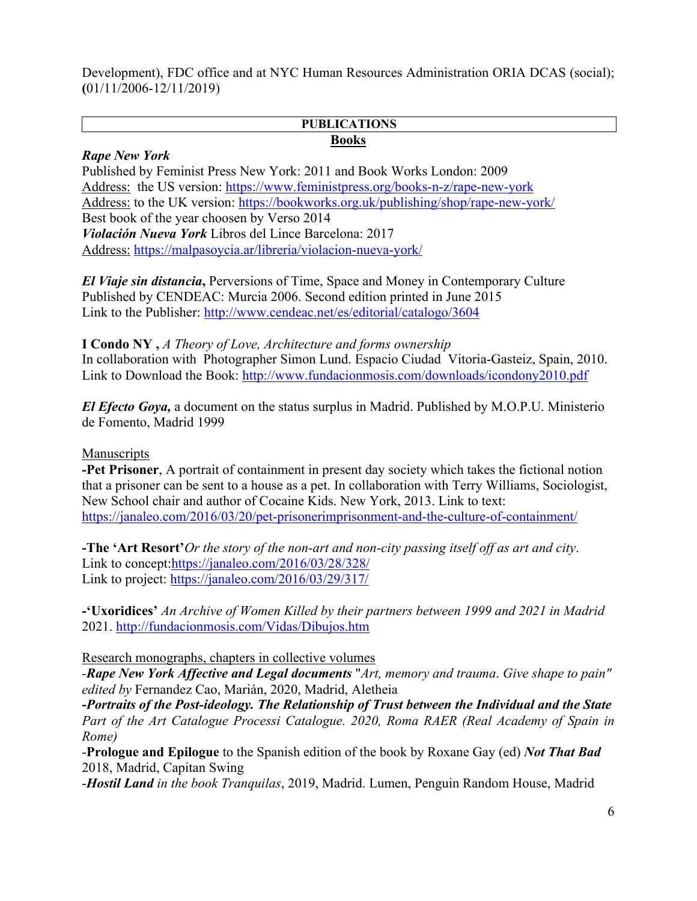Development), FDC office and at NYC Human Resources Administration ORIA DCAS (social); **(**01/11/2006-12/11/2019)

#### **PUBLICATIONS Books**

#### *Rape New York*

Published by Feminist Press New York: 2011 and Book Works London: 2009 Address: the US version: https://www.feministpress.org/books-n-z/rape-new-york Address: to the UK version: https://bookworks.org.uk/publishing/shop/rape-new-york/ Best book of the year choosen by Verso 2014 *Violación Nueva York* Libros del Lince Barcelona: 2017 Address: https://malpasoycia.ar/libreria/violacion-nueva-york/

*El Viaje sin distancia***,** Perversions of Time, Space and Money in Contemporary Culture Published by CENDEAC: Murcia 2006. Second edition printed in June 2015 Link to the Publisher: http://www.cendeac.net/es/editorial/catalogo/3604

**I Condo NY ,** *A Theory of Love, Architecture and forms ownership*  In collaboration with Photographer Simon Lund. Espacio Ciudad Vitoria-Gasteiz, Spain, 2010. Link to Download the Book: http://www.fundacionmosis.com/downloads/icondony2010.pdf

*El Efecto Goya,* a document on the status surplus in Madrid. Published by M.O.P.U. Ministerio de Fomento, Madrid 1999

#### Manuscripts

**-Pet Prisoner**, A portrait of containment in present day society which takes the fictional notion that a prisoner can be sent to a house as a pet. In collaboration with Terry Williams, Sociologist, New School chair and author of Cocaine Kids. New York, 2013. Link to text: https://janaleo.com/2016/03/20/pet-prisonerimprisonment-and-the-culture-of-containment/

**-The 'Art Resort'***Or the story of the non-art and non-city passing itself off as art and city*. Link to concept:https://janaleo.com/2016/03/28/328/ Link to project: https://janaleo.com/2016/03/29/317/

**-'Uxoridices'** *An Archive of Women Killed by their partners between 1999 and 2021 in Madrid* 2021. http://fundacionmosis.com/Vidas/Dibujos.htm

Research monographs, chapters in collective volumes

*-Rape New York Affective and Legal documents* "*Art, memory and trauma*. *Give shape to pain" edited by* Fernandez Cao, Marián, 2020, Madrid, Aletheia

**-***Portraits of the Post-ideology. The Relationship of Trust between the Individual and the State Part of the Art Catalogue Processi Catalogue. 2020, Roma RAER (Real Academy of Spain in Rome)*

-**Prologue and Epilogue** to the Spanish edition of the book by Roxane Gay (ed) *Not That Bad* 2018, Madrid, Capitan Swing

-*Hostil Land in the book Tranquilas*, 2019, Madrid. Lumen, Penguin Random House, Madrid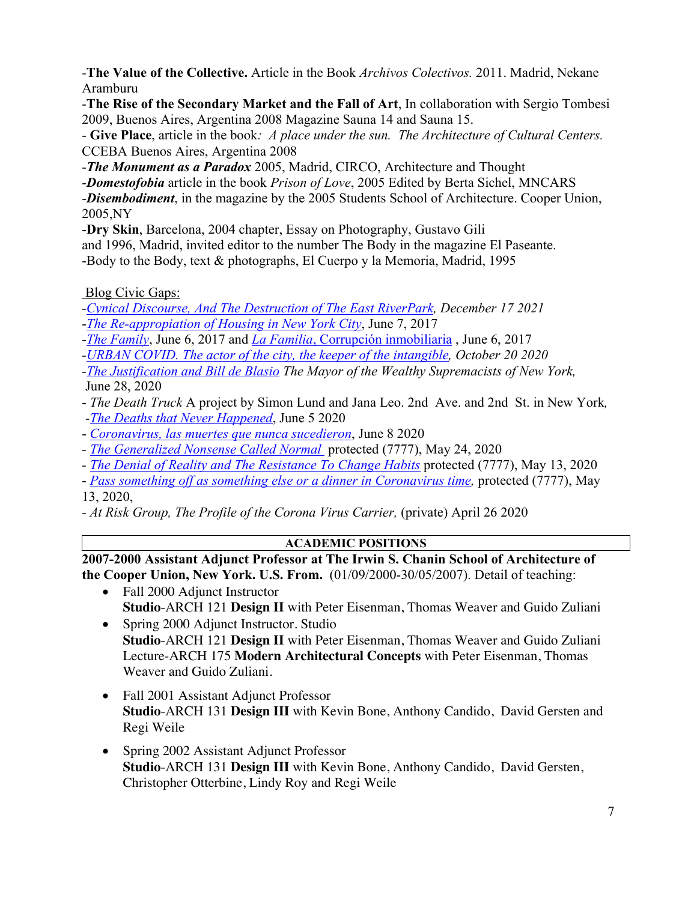*-***The Value of the Collective.** Article in the Book *Archivos Colectivos.* 2011. Madrid, Nekane Aramburu

-**The Rise of the Secondary Market and the Fall of Art**, In collaboration with Sergio Tombesi 2009, Buenos Aires, Argentina 2008 Magazine Sauna 14 and Sauna 15.

- **Give Place**, article in the book*: A place under the sun. The Architecture of Cultural Centers.*  CCEBA Buenos Aires, Argentina 2008

-*The Monument as a Paradox* 2005, Madrid, CIRCO, Architecture and Thought

-*Domestofobia* article in the book *Prison of Love*, 2005 Edited by Berta Sichel, MNCARS

-*Disembodiment*, in the magazine by the 2005 Students School of Architecture. Cooper Union, 2005,NY

-**Dry Skin**, Barcelona, 2004 chapter, Essay on Photography, Gustavo Gili

and 1996, Madrid, invited editor to the number The Body in the magazine El Paseante.

-Body to the Body, text & photographs, El Cuerpo y la Memoria, Madrid, 1995

Blog Civic Gaps:

*-Cynical Discourse, And The Destruction of The East RiverPark, December 17 2021* -*The Re-appropiation of Housing in New York City*, June 7, 2017

-*The Family*, June 6, 2017 and *La Familia*, Corrupción inmobiliaria , June 6, 2017

*-URBAN COVID. The actor of the city, the keeper of the intangible, October 20 2020*

*-The Justification and Bill de Blasio The Mayor of the Wealthy Supremacists of New York,* June 28, 2020

- *The Death Truck* A project by Simon Lund and Jana Leo. 2nd Ave. and 2nd St. in New York*, -The Deaths that Never Happened*, June 5 2020
- *Coronavirus, las muertes que nunca sucedieron*, June 8 2020
- *- The Generalized Nonsense Called Normal* protected (7777), May 24, 2020
- *- The Denial of Reality and The Resistance To Change Habits* protected (7777), May 13, 2020
- *Pass something off as something else or a dinner in Coronavirus time,* protected (7777), May 13, 2020,
- *- At Risk Group, The Profile of the Corona Virus Carrier,* (private) April 26 2020

## **ACADEMIC POSITIONS**

**2007-2000 Assistant Adjunct Professor at The Irwin S. Chanin School of Architecture of the Cooper Union, New York. U.S. From.** (01/09/2000-30/05/2007). Detail of teaching:

- Fall 2000 Adjunct Instructor **Studio**-ARCH 121 **Design II** with Peter Eisenman, Thomas Weaver and Guido Zuliani
- Spring 2000 Adjunct Instructor. Studio **Studio**-ARCH 121 **Design II** with Peter Eisenman, Thomas Weaver and Guido Zuliani Lecture-ARCH 175 **Modern Architectural Concepts** with Peter Eisenman, Thomas Weaver and Guido Zuliani.
- Fall 2001 Assistant Adjunct Professor **Studio**-ARCH 131 **Design III** with Kevin Bone, Anthony Candido, David Gersten and Regi Weile
- Spring 2002 Assistant Adjunct Professor **Studio**-ARCH 131 **Design III** with Kevin Bone, Anthony Candido, David Gersten, Christopher Otterbine, Lindy Roy and Regi Weile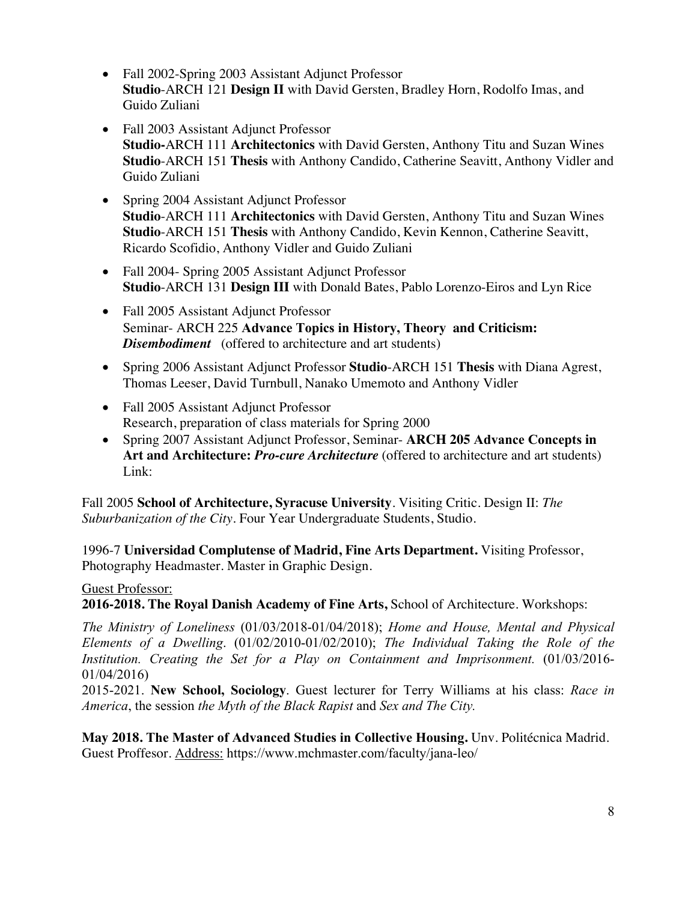- Fall 2002-Spring 2003 Assistant Adjunct Professor **Studio**-ARCH 121 **Design II** with David Gersten, Bradley Horn, Rodolfo Imas, and Guido Zuliani
- Fall 2003 Assistant Adjunct Professor **Studio-**ARCH 111 **Architectonics** with David Gersten, Anthony Titu and Suzan Wines **Studio**-ARCH 151 **Thesis** with Anthony Candido, Catherine Seavitt, Anthony Vidler and Guido Zuliani
- Spring 2004 Assistant Adjunct Professor **Studio**-ARCH 111 **Architectonics** with David Gersten, Anthony Titu and Suzan Wines **Studio**-ARCH 151 **Thesis** with Anthony Candido, Kevin Kennon, Catherine Seavitt, Ricardo Scofidio, Anthony Vidler and Guido Zuliani
- Fall 2004- Spring 2005 Assistant Adjunct Professor **Studio**-ARCH 131 **Design III** with Donald Bates, Pablo Lorenzo-Eiros and Lyn Rice
- Fall 2005 Assistant Adjunct Professor Seminar- ARCH 225 **Advance Topics in History, Theory and Criticism:** *Disembodiment* (offered to architecture and art students)
- Spring 2006 Assistant Adjunct Professor **Studio**-ARCH 151 **Thesis** with Diana Agrest, Thomas Leeser, David Turnbull, Nanako Umemoto and Anthony Vidler
- Fall 2005 Assistant Adjunct Professor Research, preparation of class materials for Spring 2000
- Spring 2007 Assistant Adjunct Professor, Seminar- **ARCH 205 Advance Concepts in Art and Architecture:** *Pro-cure Architecture* (offered to architecture and art students) Link:

Fall 2005 **School of Architecture, Syracuse University**. Visiting Critic. Design II: *The Suburbanization of the City*. Four Year Undergraduate Students, Studio.

1996-7 **Universidad Complutense of Madrid, Fine Arts Department.** Visiting Professor, Photography Headmaster. Master in Graphic Design.

#### Guest Professor:

**2016-2018. The Royal Danish Academy of Fine Arts,** School of Architecture. Workshops:

*The Ministry of Loneliness* (01/03/2018-01/04/2018); *Home and House, Mental and Physical Elements of a Dwelling*. (01/02/2010-01/02/2010); *The Individual Taking the Role of the Institution. Creating the Set for a Play on Containment and Imprisonment.* (01/03/2016- 01/04/2016)

2015-2021. **New School, Sociology**. Guest lecturer for Terry Williams at his class: *Race in America*, the session *the Myth of the Black Rapist* and *Sex and The City.*

**May 2018. The Master of Advanced Studies in Collective Housing.** Unv. Politécnica Madrid. Guest Proffesor. Address: https://www.mchmaster.com/faculty/jana-leo/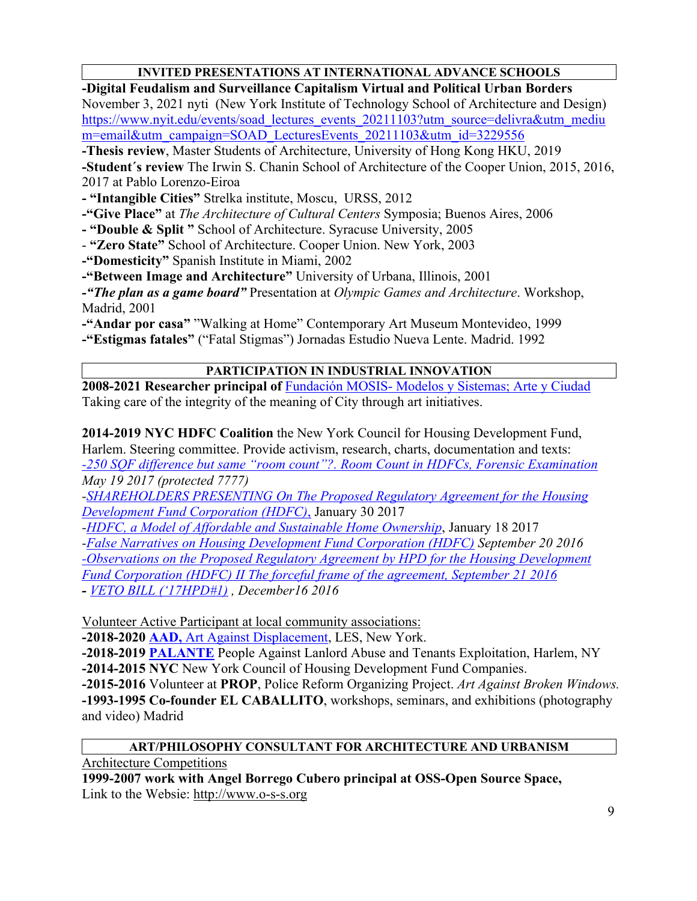## **INVITED PRESENTATIONS AT INTERNATIONAL ADVANCE SCHOOLS**

**-Digital Feudalism and Surveillance Capitalism Virtual and Political Urban Borders** November 3, 2021 nyti (New York Institute of Technology School of Architecture and Design) https://www.nyit.edu/events/soad\_lectures\_events\_20211103?utm\_source=delivra&utm\_mediu m=email&utm\_campaign=SOAD\_LecturesEvents\_20211103&utm\_id=3229556

**-Thesis review**, Master Students of Architecture, University of Hong Kong HKU, 2019

**-Student´s review** The Irwin S. Chanin School of Architecture of the Cooper Union, 2015, 2016, 2017 at Pablo Lorenzo-Eiroa

**- "Intangible Cities"** Strelka institute, Moscu, URSS, 2012

**-"Give Place"** at *The Architecture of Cultural Centers* Symposia; Buenos Aires, 2006

**- "Double & Split "** School of Architecture. Syracuse University, 2005

- **"Zero State"** School of Architecture. Cooper Union. New York, 2003

**-"Domesticity"** Spanish Institute in Miami, 2002

**-"Between Image and Architecture"** University of Urbana, Illinois, 2001

*-"The plan as a game board"* Presentation at *Olympic Games and Architecture*. Workshop, Madrid, 2001

**-"Andar por casa"** "Walking at Home" Contemporary Art Museum Montevideo, 1999 **-"Estigmas fatales"** ("Fatal Stigmas") Jornadas Estudio Nueva Lente. Madrid. 1992

#### **PARTICIPATION IN INDUSTRIAL INNOVATION**

**2008-2021 Researcher principal of** Fundación MOSIS- Modelos y Sistemas; Arte y Ciudad Taking care of the integrity of the meaning of City through art initiatives.

**2014-2019 NYC HDFC Coalition** the New York Council for Housing Development Fund, Harlem. Steering committee. Provide activism, research, charts, documentation and texts: *-250 SQF difference but same "room count"?. Room Count in HDFCs, Forensic Examination May 19 2017 (protected 7777)*

*-SHAREHOLDERS PRESENTING On The Proposed Regulatory Agreement for the Housing Development Fund Corporation (HDFC)*, January 30 2017

*-HDFC, a Model of Affordable and Sustainable Home Ownership*, January 18 2017

*-False Narratives on Housing Development Fund Corporation (HDFC) September 20 2016*

*-Observations on the Proposed Regulatory Agreement by HPD for the Housing Development Fund Corporation (HDFC) II The forceful frame of the agreement, September 21 2016*

*- VETO BILL ('17HPD#1) , December16 2016*

Volunteer Active Participant at local community associations:

**-2018-2020 AAD,** Art Against Displacement, LES, New York.

**-2018-2019 PALANTE** People Against Lanlord Abuse and Tenants Exploitation, Harlem, NY **-2014-2015 NYC** New York Council of Housing Development Fund Companies.

**-2015-2016** Volunteer at **PROP**, Police Reform Organizing Project. *Art Against Broken Windows.* **-1993-1995 Co-founder EL CABALLITO**, workshops, seminars, and exhibitions (photography and video) Madrid

#### **ART/PHILOSOPHY CONSULTANT FOR ARCHITECTURE AND URBANISM**

Architecture Competitions

**1999-2007 work with Angel Borrego Cubero principal at OSS-Open Source Space,**  Link to the Websie: http://www.o-s-s.org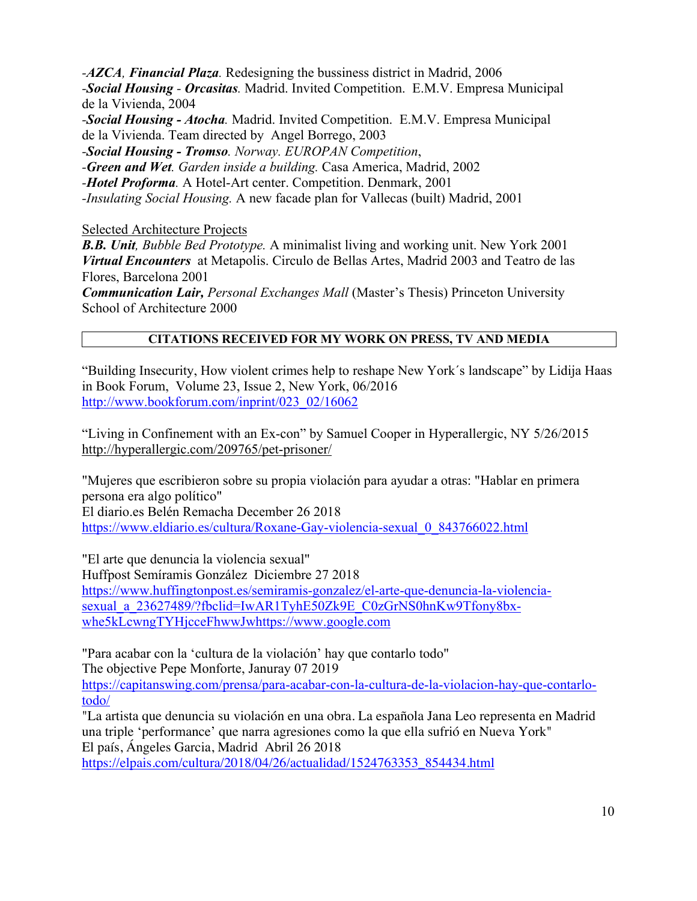*-AZCA, Financial Plaza.* Redesigning the bussiness district in Madrid, 2006 *-Social Housing - Orcasitas.* Madrid. Invited Competition. E.M.V. Empresa Municipal de la Vivienda, 2004 *-Social Housing - Atocha.* Madrid. Invited Competition. E.M.V. Empresa Municipal

de la Vivienda. Team directed by Angel Borrego, 2003

*-Social Housing - Tromso. Norway. EUROPAN Competition*,

*-Green and Wet. Garden inside a building.* Casa America, Madrid, 2002

*-Hotel Proforma.* A Hotel-Art center. Competition. Denmark, 2001

*-Insulating Social Housing.* A new facade plan for Vallecas (built) Madrid, 2001

Selected Architecture Projects

*B.B. Unit, Bubble Bed Prototype.* A minimalist living and working unit. New York 2001 *Virtual Encounters* at Metapolis. Circulo de Bellas Artes, Madrid 2003 and Teatro de las Flores, Barcelona 2001

*Communication Lair, Personal Exchanges Mall* (Master's Thesis) Princeton University School of Architecture 2000

## **CITATIONS RECEIVED FOR MY WORK ON PRESS, TV AND MEDIA**

"Building Insecurity, How violent crimes help to reshape New York´s landscape" by Lidija Haas in Book Forum, Volume 23, Issue 2, New York, 06/2016 http://www.bookforum.com/inprint/023\_02/16062

"Living in Confinement with an Ex-con" by Samuel Cooper in Hyperallergic, NY 5/26/2015 http://hyperallergic.com/209765/pet-prisoner/

"Mujeres que escribieron sobre su propia violación para ayudar a otras: "Hablar en primera persona era algo político" El diario.es Belén Remacha December 26 2018 https://www.eldiario.es/cultura/Roxane-Gay-violencia-sexual\_0\_843766022.html

"El arte que denuncia la violencia sexual" Huffpost Semíramis González Diciembre 27 2018 https://www.huffingtonpost.es/semiramis-gonzalez/el-arte-que-denuncia-la-violenciasexual\_a\_23627489/?fbclid=IwAR1TyhE50Zk9E\_C0zGrNS0hnKw9Tfony8bx-

whe5kLcwngTYHjcceFhwwJwhttps://www.google.com

"Para acabar con la 'cultura de la violación' hay que contarlo todo" The objective Pepe Monforte, Januray 07 2019 https://capitanswing.com/prensa/para-acabar-con-la-cultura-de-la-violacion-hay-que-contarlotodo/

"La artista que denuncia su violación en una obra. La española Jana Leo representa en Madrid una triple 'performance' que narra agresiones como la que ella sufrió en Nueva York" El país, Ángeles Garcia, Madrid Abril 26 2018

https://elpais.com/cultura/2018/04/26/actualidad/1524763353\_854434.html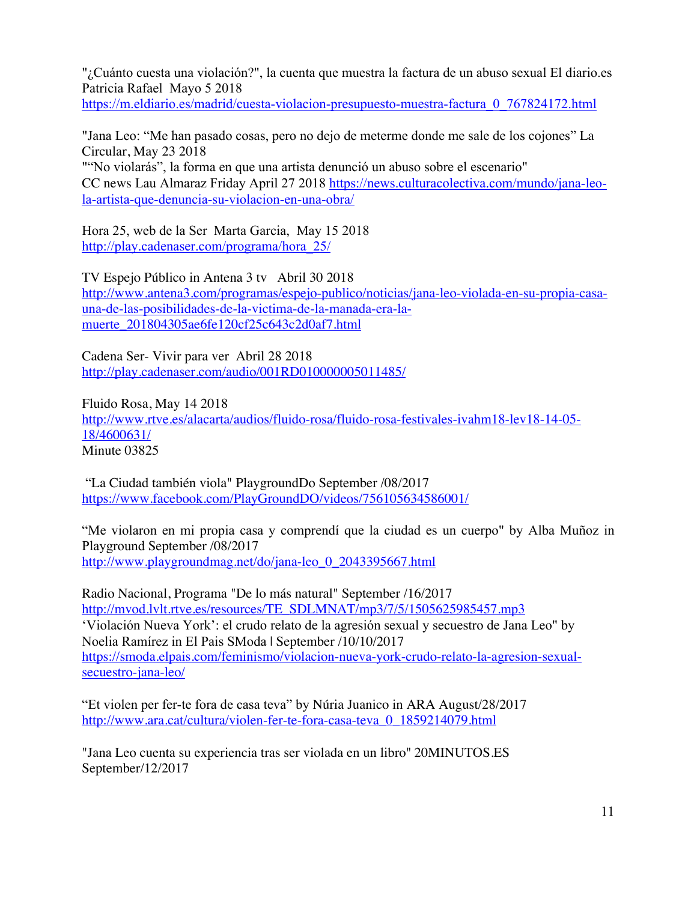"¿Cuánto cuesta una violación?", la cuenta que muestra la factura de un abuso sexual El diario.es Patricia Rafael Mayo 5 2018

https://m.eldiario.es/madrid/cuesta-violacion-presupuesto-muestra-factura\_0\_767824172.html

"Jana Leo: "Me han pasado cosas, pero no dejo de meterme donde me sale de los cojones" La Circular, May 23 2018

""No violarás", la forma en que una artista denunció un abuso sobre el escenario" CC news Lau Almaraz Friday April 27 2018 https://news.culturacolectiva.com/mundo/jana-leola-artista-que-denuncia-su-violacion-en-una-obra/

Hora 25, web de la Ser Marta Garcia, May 15 2018 http://play.cadenaser.com/programa/hora\_25/

TV Espejo Público in Antena 3 tv Abril 30 2018 http://www.antena3.com/programas/espejo-publico/noticias/jana-leo-violada-en-su-propia-casauna-de-las-posibilidades-de-la-victima-de-la-manada-era-lamuerte\_201804305ae6fe120cf25c643c2d0af7.html

Cadena Ser- Vivir para ver Abril 28 2018 http://play.cadenaser.com/audio/001RD010000005011485/

Fluido Rosa, May 14 2018 http://www.rtve.es/alacarta/audios/fluido-rosa/fluido-rosa-festivales-ivahm18-lev18-14-05- 18/4600631/ Minute 03825

"La Ciudad también viola" PlaygroundDo September /08/2017 https://www.facebook.com/PlayGroundDO/videos/756105634586001/

"Me violaron en mi propia casa y comprendí que la ciudad es un cuerpo" by Alba Muñoz in Playground September /08/2017 http://www.playgroundmag.net/do/jana-leo\_0\_2043395667.html

Radio Nacional, Programa "De lo más natural" September /16/2017 http://mvod.lvlt.rtve.es/resources/TE\_SDLMNAT/mp3/7/5/1505625985457.mp3 'Violación Nueva York': el crudo relato de la agresión sexual y secuestro de Jana Leo" by Noelia Ramírez in El Pais SModa | September /10/10/2017 https://smoda.elpais.com/feminismo/violacion-nueva-york-crudo-relato-la-agresion-sexualsecuestro-jana-leo/

"Et violen per fer-te fora de casa teva" by Núria Juanico in ARA August/28/2017 http://www.ara.cat/cultura/violen-fer-te-fora-casa-teva\_0\_1859214079.html

"Jana Leo cuenta su experiencia tras ser violada en un libro" 20MINUTOS.ES September/12/2017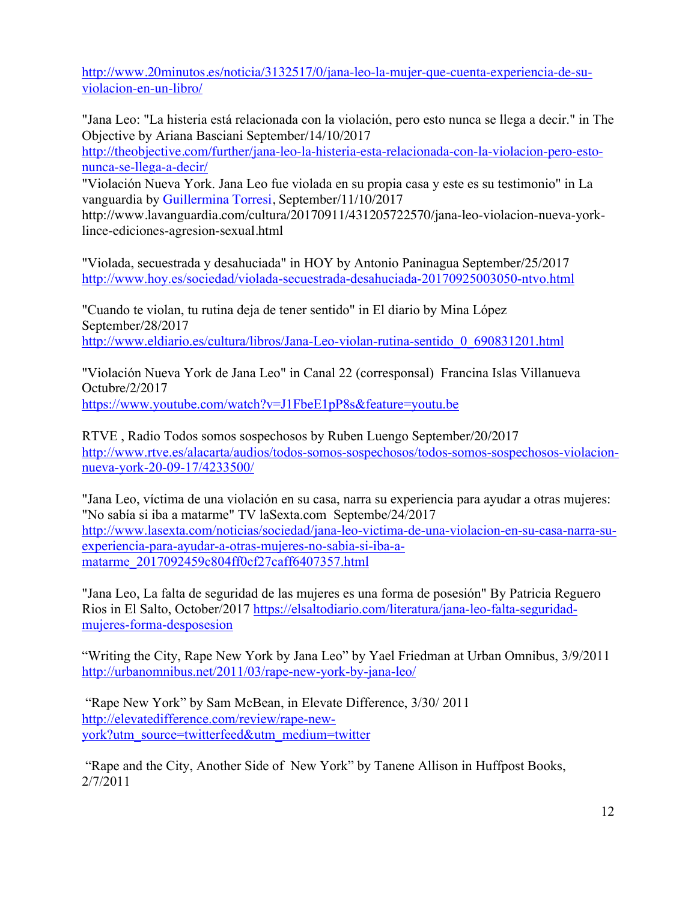http://www.20minutos.es/noticia/3132517/0/jana-leo-la-mujer-que-cuenta-experiencia-de-suviolacion-en-un-libro/

"Jana Leo: "La histeria está relacionada con la violación, pero esto nunca se llega a decir." in The Objective by Ariana Basciani September/14/10/2017

http://theobjective.com/further/jana-leo-la-histeria-esta-relacionada-con-la-violacion-pero-estonunca-se-llega-a-decir/

"Violación Nueva York. Jana Leo fue violada en su propia casa y este es su testimonio" in La vanguardia by Guillermina Torresi, September/11/10/2017

http://www.lavanguardia.com/cultura/20170911/431205722570/jana-leo-violacion-nueva-yorklince-ediciones-agresion-sexual.html

"Violada, secuestrada y desahuciada" in HOY by Antonio Paninagua September/25/2017 http://www.hoy.es/sociedad/violada-secuestrada-desahuciada-20170925003050-ntvo.html

"Cuando te violan, tu rutina deja de tener sentido" in El diario by Mina López September/28/2017 http://www.eldiario.es/cultura/libros/Jana-Leo-violan-rutina-sentido\_0\_690831201.html

"Violación Nueva York de Jana Leo" in Canal 22 (corresponsal) Francina Islas Villanueva Octubre/2/2017 https://www.youtube.com/watch?v=J1FbeE1pP8s&feature=youtu.be

RTVE , Radio Todos somos sospechosos by Ruben Luengo September/20/2017 http://www.rtve.es/alacarta/audios/todos-somos-sospechosos/todos-somos-sospechosos-violacionnueva-york-20-09-17/4233500/

"Jana Leo, víctima de una violación en su casa, narra su experiencia para ayudar a otras mujeres: "No sabía si iba a matarme" TV laSexta.com Septembe/24/2017 http://www.lasexta.com/noticias/sociedad/jana-leo-victima-de-una-violacion-en-su-casa-narra-suexperiencia-para-ayudar-a-otras-mujeres-no-sabia-si-iba-amatarme\_2017092459c804ff0cf27caff6407357.html

"Jana Leo, La falta de seguridad de las mujeres es una forma de posesión" By Patricia Reguero Rios in El Salto, October/2017 https://elsaltodiario.com/literatura/jana-leo-falta-seguridadmujeres-forma-desposesion

"Writing the City, Rape New York by Jana Leo" by Yael Friedman at Urban Omnibus, 3/9/2011 http://urbanomnibus.net/2011/03/rape-new-york-by-jana-leo/

"Rape New York" by Sam McBean, in Elevate Difference, 3/30/ 2011 http://elevatedifference.com/review/rape-newyork?utm\_source=twitterfeed&utm\_medium=twitter

"Rape and the City, Another Side of New York" by Tanene Allison in Huffpost Books, 2/7/2011